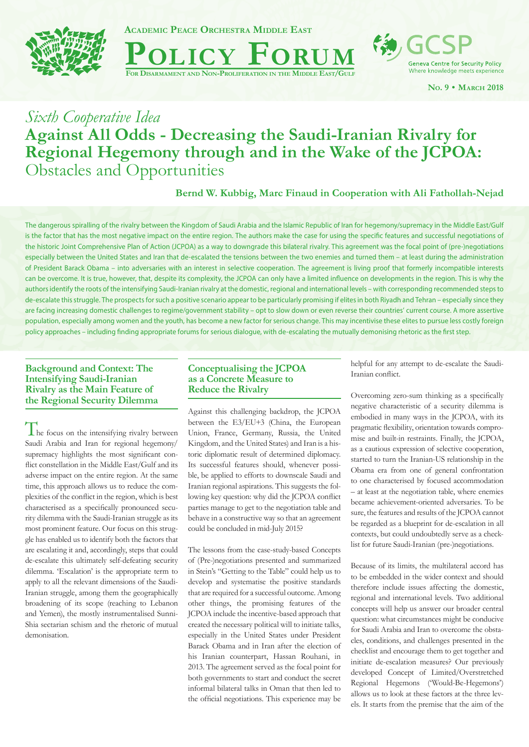

**Academic Peace Orchestra Middle East**



**Geneva Centre for Security Policy** Where knowledge meets experience

**No. 9 • March 2018**

# *Sixth Cooperative Idea* **Against All Odds - Decreasing the Saudi-Iranian Rivalry for Regional Hegemony through and in the Wake of the JCPOA:**  Obstacles and Opportunities

**Bernd W. Kubbig, Marc Finaud in Cooperation with Ali Fathollah-Nejad**

The dangerous spiralling of the rivalry between the Kingdom of Saudi Arabia and the Islamic Republic of Iran for hegemony/supremacy in the Middle East/Gulf is the factor that has the most negative impact on the entire region. The authors make the case for using the specific features and successful negotiations of the historic Joint Comprehensive Plan of Action (JCPOA) as a way to downgrade this bilateral rivalry. This agreement was the focal point of (pre-)negotiations especially between the United States and Iran that de-escalated the tensions between the two enemies and turned them – at least during the administration of President Barack Obama – into adversaries with an interest in selective cooperation. The agreement is living proof that formerly incompatible interests can be overcome. It is true, however, that, despite its complexity, the JCPOA can only have a limited influence on developments in the region. This is why the authors identify the roots of the intensifying Saudi-Iranian rivalry at the domestic, regional and international levels – with corresponding recommended steps to de-escalate this struggle. The prospects for such a positive scenario appear to be particularly promising if elites in both Riyadh and Tehran – especially since they are facing increasing domestic challenges to regime/government stability – opt to slow down or even reverse their countries' current course. A more assertive population, especially among women and the youth, has become a new factor for serious change. This may incentivise these elites to pursue less costly foreign policy approaches – including finding appropriate forums for serious dialogue, with de-escalating the mutually demonising rhetoric as the first step.

## **Background and Context: The Intensifying Saudi-Iranian Rivalry as the Main Feature of the Regional Security Dilemma**

The focus on the intensifying rivalry between Saudi Arabia and Iran for regional hegemony/ supremacy highlights the most significant conflict constellation in the Middle East/Gulf and its adverse impact on the entire region. At the same time, this approach allows us to reduce the complexities of the conflict in the region, which is best characterised as a specifically pronounced security dilemma with the Saudi-Iranian struggle as its most prominent feature. Our focus on this struggle has enabled us to identify both the factors that are escalating it and, accordingly, steps that could de-escalate this ultimately self-defeating security dilemma. 'Escalation' is the appropriate term to apply to all the relevant dimensions of the Saudi-Iranian struggle, among them the geographically broadening of its scope (reaching to Lebanon and Yemen), the mostly instrumentalised Sunni-Shia sectarian schism and the rhetoric of mutual demonisation.

# **Conceptualising the JCPOA as a Concrete Measure to Reduce the Rivalry**

Against this challenging backdrop, the JCPOA between the E3/EU+3 (China, the European Union, France, Germany, Russia, the United Kingdom, and the United States) and Iran is a historic diplomatic result of determined diplomacy. Its successful features should, whenever possible, be applied to efforts to downscale Saudi and Iranian regional aspirations. This suggests the following key question: why did the JCPOA conflict parties manage to get to the negotiation table and behave in a constructive way so that an agreement could be concluded in mid-July 2015?

The lessons from the case-study-based Concepts of (Pre-)negotiations presented and summarized in Stein's "Getting to the Table" could help us to develop and systematise the positive standards that are required for a successful outcome. Among other things, the promising features of the JCPOA include the incentive-based approach that created the necessary political will to initiate talks, especially in the United States under President Barack Obama and in Iran after the election of his Iranian counterpart, Hassan Rouhani, in 2013. The agreement served as the focal point for both governments to start and conduct the secret informal bilateral talks in Oman that then led to the official negotiations. This experience may be helpful for any attempt to de-escalate the Saudi-Iranian conflict.

Overcoming zero-sum thinking as a specifically negative characteristic of a security dilemma is embodied in many ways in the JCPOA, with its pragmatic flexibility, orientation towards compromise and built-in restraints. Finally, the JCPOA, as a cautious expression of selective cooperation, started to turn the Iranian-US relationship in the Obama era from one of general confrontation to one characterised by focused accommodation – at least at the negotiation table, where enemies became achievement-oriented adversaries. To be sure, the features and results of the JCPOA cannot be regarded as a blueprint for de-escalation in all contexts, but could undoubtedly serve as a checklist for future Saudi-Iranian (pre-)negotiations.

Because of its limits, the multilateral accord has to be embedded in the wider context and should therefore include issues affecting the domestic, regional and international levels. Two additional concepts will help us answer our broader central question: what circumstances might be conducive for Saudi Arabia and Iran to overcome the obstacles, conditions, and challenges presented in the checklist and encourage them to get together and initiate de-escalation measures? Our previously developed Concept of Limited/Overstretched Regional Hegemons ('Would-Be-Hegemons') allows us to look at these factors at the three levels. It starts from the premise that the aim of the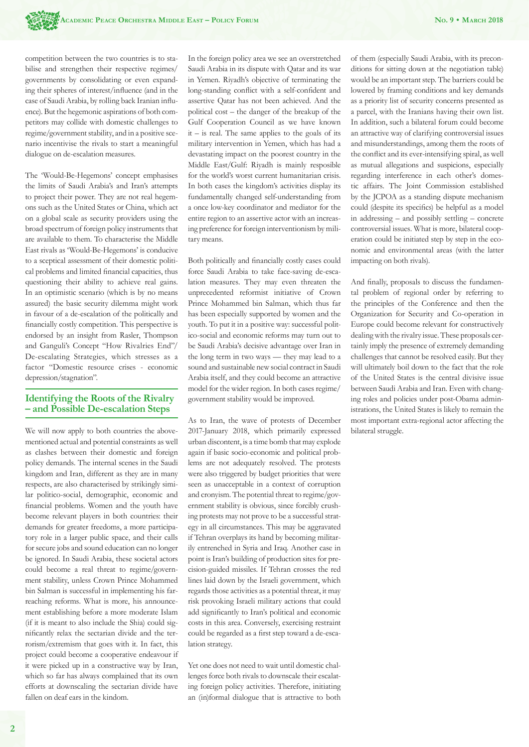competition between the two countries is to stabilise and strengthen their respective regimes/ governments by consolidating or even expanding their spheres of interest/influence (and in the case of Saudi Arabia, by rolling back Iranian influence). But the hegemonic aspirations of both competitors may collide with domestic challenges to regime/government stability, and in a positive scenario incentivise the rivals to start a meaningful dialogue on de-escalation measures.

The 'Would-Be-Hegemons' concept emphasises the limits of Saudi Arabia's and Iran's attempts to project their power. They are not real hegemons such as the United States or China, which act on a global scale as security providers using the broad spectrum of foreign policy instruments that are available to them. To characterise the Middle East rivals as 'Would-Be-Hegemons' is conducive to a sceptical assessment of their domestic political problems and limited financial capacities, thus questioning their ability to achieve real gains. In an optimistic scenario (which is by no means assured) the basic security dilemma might work in favour of a de-escalation of the politically and financially costly competition. This perspective is endorsed by an insight from Rasler, Thompson and Ganguli's Concept "How Rivalries End"/ De-escalating Strategies, which stresses as a factor "Domestic resource crises - economic depression/stagnation".

## **Identifying the Roots of the Rivalry – and Possible De-escalation Steps**

We will now apply to both countries the abovementioned actual and potential constraints as well as clashes between their domestic and foreign policy demands. The internal scenes in the Saudi kingdom and Iran, different as they are in many respects, are also characterised by strikingly similar politico-social, demographic, economic and financial problems. Women and the youth have become relevant players in both countries: their demands for greater freedoms, a more participatory role in a larger public space, and their calls for secure jobs and sound education can no longer be ignored. In Saudi Arabia, these societal actors could become a real threat to regime/government stability, unless Crown Prince Mohammed bin Salman is successful in implementing his farreaching reforms. What is more, his announcement establishing before a more moderate Islam (if it is meant to also include the Shia) could significantly relax the sectarian divide and the terrorism/extremism that goes with it. In fact, this project could become a cooperative endeavour if it were picked up in a constructive way by Iran, which so far has always complained that its own efforts at downscaling the sectarian divide have fallen on deaf ears in the kindom.

In the foreign policy area we see an overstretched Saudi Arabia in its dispute with Qatar and its war in Yemen. Riyadh's objective of terminating the long-standing conflict with a self-confident and assertive Qatar has not been achieved. And the political cost – the danger of the breakup of the Gulf Cooperation Council as we have known  $it$  – is real. The same applies to the goals of its military intervention in Yemen, which has had a devastating impact on the poorest country in the Middle East/Gulf: Riyadh is mainly resposible for the world's worst current humanitarian crisis. In both cases the kingdom's activities display its fundamentally changed self-understanding from a once low-key coordinator and mediator for the entire region to an assertive actor with an increasing preference for foreign interventionism by military means.

Both politically and financially costly cases could force Saudi Arabia to take face-saving de-escalation measures. They may even threaten the unprecedented reformist initiative of Crown Prince Mohammed bin Salman, which thus far has been especially supported by women and the youth. To put it in a positive way: successful politico-social and economic reforms may turn out to be Saudi Arabia's decisive advantage over Iran in the long term in two ways — they may lead to a sound and sustainable new social contract in Saudi Arabia itself, and they could become an attractive model for the wider region. In both cases regime/ government stability would be improved.

As to Iran, the wave of protests of December 2017-January 2018, which primarily expressed urban discontent, is a time bomb that may explode again if basic socio-economic and political problems are not adequately resolved. The protests were also triggered by budget priorities that were seen as unacceptable in a context of corruption and cronyism. The potential threat to regime/government stability is obvious, since forcibly crushing protests may not prove to be a successful strategy in all circumstances. This may be aggravated if Tehran overplays its hand by becoming militarily entrenched in Syria and Iraq. Another case in point is Iran's building of production sites for precision-guided missiles. If Tehran crosses the red lines laid down by the Israeli government, which regards those activities as a potential threat, it may risk provoking Israeli military actions that could add significantly to Iran's political and economic costs in this area. Conversely, exercising restraint could be regarded as a first step toward a de-escalation strategy.

Yet one does not need to wait until domestic challenges force both rivals to downscale their escalating foreign policy activities. Therefore, initiating an (in)formal dialogue that is attractive to both of them (especially Saudi Arabia, with its preconditions for sitting down at the negotiation table) would be an important step. The barriers could be lowered by framing conditions and key demands as a priority list of security concerns presented as a parcel, with the Iranians having their own list. In addition, such a bilateral forum could become an attractive way of clarifying controversial issues and misunderstandings, among them the roots of the conflict and its ever-intensifying spiral, as well as mutual allegations and suspicions, especially regarding interference in each other's domestic affairs. The Joint Commission established by the JCPOA as a standing dispute mechanism could (despite its specifics) be helpful as a model in addressing – and possibly settling – concrete controversial issues. What is more, bilateral cooperation could be initiated step by step in the economic and environmental areas (with the latter impacting on both rivals).

And finally, proposals to discuss the fundamental problem of regional order by referring to the principles of the Conference and then the Organization for Security and Co-operation in Europe could become relevant for constructively dealing with the rivalry issue. These proposals certainly imply the presence of extremely demanding challenges that cannot be resolved easily. But they will ultimately boil down to the fact that the role of the United States is the central divisive issue between Saudi Arabia and Iran. Even with changing roles and policies under post-Obama administrations, the United States is likely to remain the most important extra-regional actor affecting the bilateral struggle.